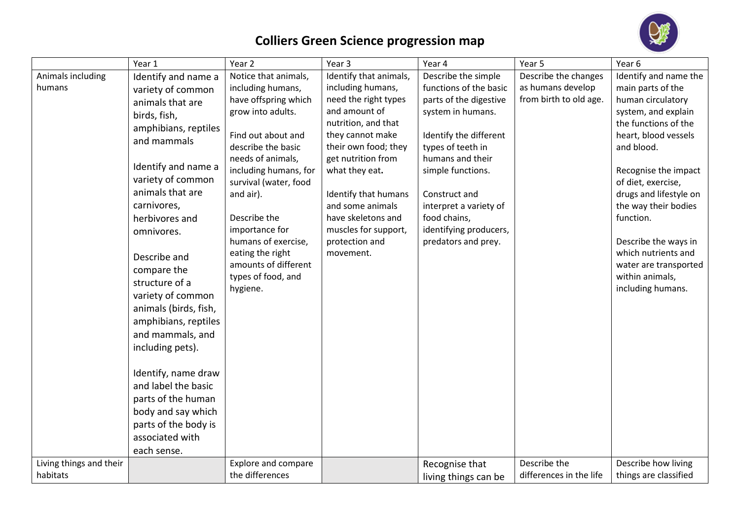

## **Colliers Green Science progression map**

|                                     | Year 1                                                                                                                                                                                                                                                                                                                                                                                                                                                                                                                                                | Year 2                                                                                                                                                                                                                                                                                                                                                        | Year 3                                                                                                                                                                                                                                                                                                                   | Year 4                                                                                                                                                                                                                                                                                           | Year 5                                                              | Year <sub>6</sub>                                                                                                                                                                                                                                                                                                                                                                 |
|-------------------------------------|-------------------------------------------------------------------------------------------------------------------------------------------------------------------------------------------------------------------------------------------------------------------------------------------------------------------------------------------------------------------------------------------------------------------------------------------------------------------------------------------------------------------------------------------------------|---------------------------------------------------------------------------------------------------------------------------------------------------------------------------------------------------------------------------------------------------------------------------------------------------------------------------------------------------------------|--------------------------------------------------------------------------------------------------------------------------------------------------------------------------------------------------------------------------------------------------------------------------------------------------------------------------|--------------------------------------------------------------------------------------------------------------------------------------------------------------------------------------------------------------------------------------------------------------------------------------------------|---------------------------------------------------------------------|-----------------------------------------------------------------------------------------------------------------------------------------------------------------------------------------------------------------------------------------------------------------------------------------------------------------------------------------------------------------------------------|
| Animals including<br>humans         | Identify and name a<br>variety of common<br>animals that are<br>birds, fish,<br>amphibians, reptiles<br>and mammals<br>Identify and name a<br>variety of common<br>animals that are<br>carnivores,<br>herbivores and<br>omnivores.<br>Describe and<br>compare the<br>structure of a<br>variety of common<br>animals (birds, fish,<br>amphibians, reptiles<br>and mammals, and<br>including pets).<br>Identify, name draw<br>and label the basic<br>parts of the human<br>body and say which<br>parts of the body is<br>associated with<br>each sense. | Notice that animals,<br>including humans,<br>have offspring which<br>grow into adults.<br>Find out about and<br>describe the basic<br>needs of animals,<br>including humans, for<br>survival (water, food<br>and air).<br>Describe the<br>importance for<br>humans of exercise,<br>eating the right<br>amounts of different<br>types of food, and<br>hygiene. | Identify that animals,<br>including humans,<br>need the right types<br>and amount of<br>nutrition, and that<br>they cannot make<br>their own food; they<br>get nutrition from<br>what they eat.<br>Identify that humans<br>and some animals<br>have skeletons and<br>muscles for support,<br>protection and<br>movement. | Describe the simple<br>functions of the basic<br>parts of the digestive<br>system in humans.<br>Identify the different<br>types of teeth in<br>humans and their<br>simple functions.<br>Construct and<br>interpret a variety of<br>food chains,<br>identifying producers,<br>predators and prey. | Describe the changes<br>as humans develop<br>from birth to old age. | Identify and name the<br>main parts of the<br>human circulatory<br>system, and explain<br>the functions of the<br>heart, blood vessels<br>and blood.<br>Recognise the impact<br>of diet, exercise,<br>drugs and lifestyle on<br>the way their bodies<br>function.<br>Describe the ways in<br>which nutrients and<br>water are transported<br>within animals,<br>including humans. |
| Living things and their<br>habitats |                                                                                                                                                                                                                                                                                                                                                                                                                                                                                                                                                       | <b>Explore and compare</b>                                                                                                                                                                                                                                                                                                                                    |                                                                                                                                                                                                                                                                                                                          | Recognise that                                                                                                                                                                                                                                                                                   | Describe the                                                        | Describe how living                                                                                                                                                                                                                                                                                                                                                               |
|                                     |                                                                                                                                                                                                                                                                                                                                                                                                                                                                                                                                                       | the differences                                                                                                                                                                                                                                                                                                                                               |                                                                                                                                                                                                                                                                                                                          | living things can be                                                                                                                                                                                                                                                                             | differences in the life                                             | things are classified                                                                                                                                                                                                                                                                                                                                                             |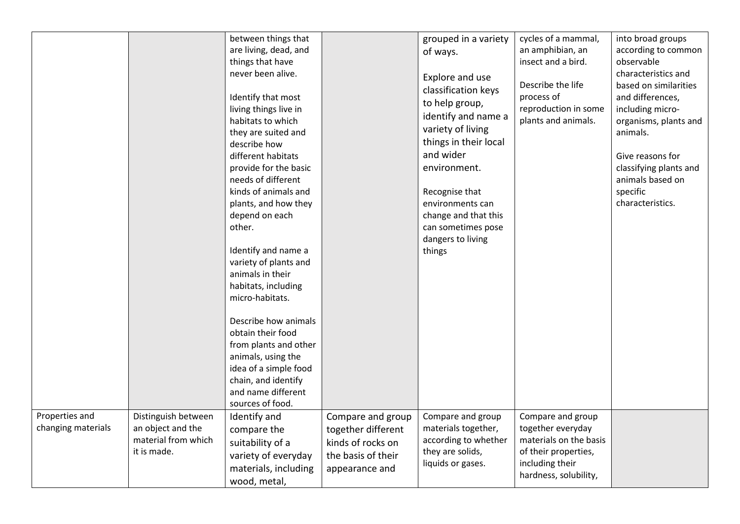|                                      |                                                                                | between things that<br>are living, dead, and<br>things that have<br>never been alive.<br>Identify that most<br>living things live in<br>habitats to which<br>they are suited and<br>describe how<br>different habitats<br>provide for the basic<br>needs of different<br>kinds of animals and<br>plants, and how they<br>depend on each<br>other.<br>Identify and name a<br>variety of plants and<br>animals in their<br>habitats, including<br>micro-habitats.<br>Describe how animals<br>obtain their food<br>from plants and other<br>animals, using the<br>idea of a simple food<br>chain, and identify<br>and name different<br>sources of food. |                                                                                                      | grouped in a variety<br>of ways.<br>Explore and use<br>classification keys<br>to help group,<br>identify and name a<br>variety of living<br>things in their local<br>and wider<br>environment.<br>Recognise that<br>environments can<br>change and that this<br>can sometimes pose<br>dangers to living<br>things | cycles of a mammal,<br>an amphibian, an<br>insect and a bird.<br>Describe the life<br>process of<br>reproduction in some<br>plants and animals. | into broad groups<br>according to common<br>observable<br>characteristics and<br>based on similarities<br>and differences,<br>including micro-<br>organisms, plants and<br>animals.<br>Give reasons for<br>classifying plants and<br>animals based on<br>specific<br>characteristics. |
|--------------------------------------|--------------------------------------------------------------------------------|-------------------------------------------------------------------------------------------------------------------------------------------------------------------------------------------------------------------------------------------------------------------------------------------------------------------------------------------------------------------------------------------------------------------------------------------------------------------------------------------------------------------------------------------------------------------------------------------------------------------------------------------------------|------------------------------------------------------------------------------------------------------|-------------------------------------------------------------------------------------------------------------------------------------------------------------------------------------------------------------------------------------------------------------------------------------------------------------------|-------------------------------------------------------------------------------------------------------------------------------------------------|---------------------------------------------------------------------------------------------------------------------------------------------------------------------------------------------------------------------------------------------------------------------------------------|
| Properties and<br>changing materials | Distinguish between<br>an object and the<br>material from which<br>it is made. | Identify and<br>compare the<br>suitability of a<br>variety of everyday<br>materials, including<br>wood, metal,                                                                                                                                                                                                                                                                                                                                                                                                                                                                                                                                        | Compare and group<br>together different<br>kinds of rocks on<br>the basis of their<br>appearance and | Compare and group<br>materials together,<br>according to whether<br>they are solids,<br>liquids or gases.                                                                                                                                                                                                         | Compare and group<br>together everyday<br>materials on the basis<br>of their properties,<br>including their<br>hardness, solubility,            |                                                                                                                                                                                                                                                                                       |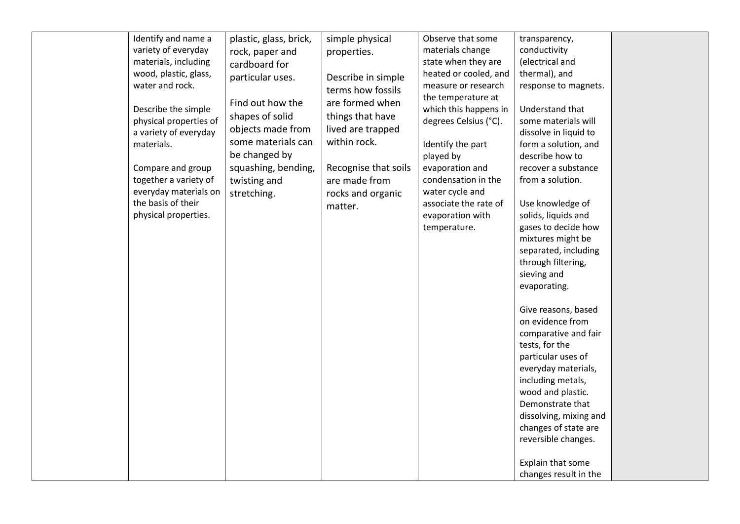| variety of everyday<br>materials, including<br>wood, plastic, glass,<br>water and rock.<br>Describe the simple<br>physical properties of<br>a variety of everyday<br>materials.<br>Compare and group<br>together a variety of<br>everyday materials on<br>the basis of their<br>physical properties. | rock, paper and<br>cardboard for<br>particular uses.<br>Find out how the<br>shapes of solid<br>objects made from<br>some materials can<br>be changed by<br>squashing, bending,<br>twisting and<br>stretching. | properties.<br>Describe in simple<br>terms how fossils<br>are formed when<br>things that have<br>lived are trapped<br>within rock.<br>Recognise that soils<br>are made from<br>rocks and organic<br>matter. | materials change<br>state when they are<br>heated or cooled, and<br>measure or research<br>the temperature at<br>which this happens in<br>degrees Celsius (°C).<br>Identify the part<br>played by<br>evaporation and<br>condensation in the<br>water cycle and<br>associate the rate of<br>evaporation with<br>temperature. | conductivity<br>(electrical and<br>thermal), and<br>response to magnets.<br>Understand that<br>some materials will<br>dissolve in liquid to<br>form a solution, and<br>describe how to<br>recover a substance<br>from a solution.<br>Use knowledge of<br>solids, liquids and<br>gases to decide how<br>mixtures might be<br>separated, including<br>through filtering,<br>sieving and<br>evaporating.<br>Give reasons, based<br>on evidence from<br>comparative and fair |  |
|------------------------------------------------------------------------------------------------------------------------------------------------------------------------------------------------------------------------------------------------------------------------------------------------------|---------------------------------------------------------------------------------------------------------------------------------------------------------------------------------------------------------------|-------------------------------------------------------------------------------------------------------------------------------------------------------------------------------------------------------------|-----------------------------------------------------------------------------------------------------------------------------------------------------------------------------------------------------------------------------------------------------------------------------------------------------------------------------|--------------------------------------------------------------------------------------------------------------------------------------------------------------------------------------------------------------------------------------------------------------------------------------------------------------------------------------------------------------------------------------------------------------------------------------------------------------------------|--|
|------------------------------------------------------------------------------------------------------------------------------------------------------------------------------------------------------------------------------------------------------------------------------------------------------|---------------------------------------------------------------------------------------------------------------------------------------------------------------------------------------------------------------|-------------------------------------------------------------------------------------------------------------------------------------------------------------------------------------------------------------|-----------------------------------------------------------------------------------------------------------------------------------------------------------------------------------------------------------------------------------------------------------------------------------------------------------------------------|--------------------------------------------------------------------------------------------------------------------------------------------------------------------------------------------------------------------------------------------------------------------------------------------------------------------------------------------------------------------------------------------------------------------------------------------------------------------------|--|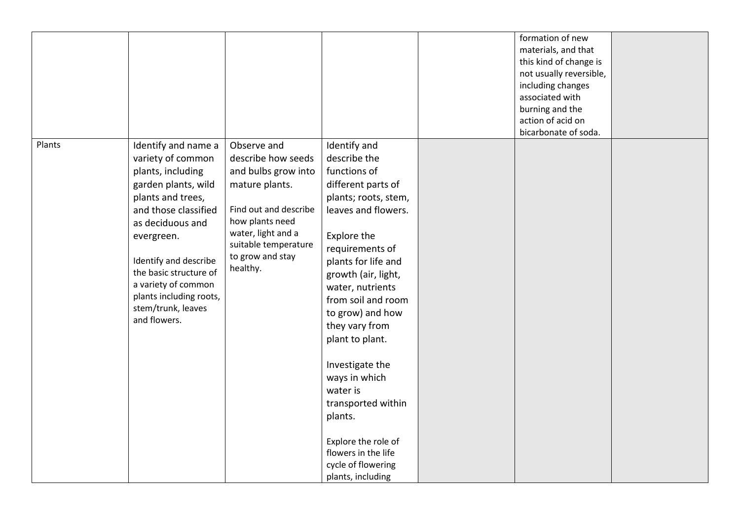|        |                                                                                                                                                                                                                                                                                                                |                                                                                                                                                                                                      |                                                                                                                                                                                                                                                                                                                                                                                                                                                                                | formation of new<br>materials, and that<br>this kind of change is<br>not usually reversible,<br>including changes<br>associated with<br>burning and the<br>action of acid on<br>bicarbonate of soda. |  |
|--------|----------------------------------------------------------------------------------------------------------------------------------------------------------------------------------------------------------------------------------------------------------------------------------------------------------------|------------------------------------------------------------------------------------------------------------------------------------------------------------------------------------------------------|--------------------------------------------------------------------------------------------------------------------------------------------------------------------------------------------------------------------------------------------------------------------------------------------------------------------------------------------------------------------------------------------------------------------------------------------------------------------------------|------------------------------------------------------------------------------------------------------------------------------------------------------------------------------------------------------|--|
| Plants | Identify and name a<br>variety of common<br>plants, including<br>garden plants, wild<br>plants and trees,<br>and those classified<br>as deciduous and<br>evergreen.<br>Identify and describe<br>the basic structure of<br>a variety of common<br>plants including roots,<br>stem/trunk, leaves<br>and flowers. | Observe and<br>describe how seeds<br>and bulbs grow into<br>mature plants.<br>Find out and describe<br>how plants need<br>water, light and a<br>suitable temperature<br>to grow and stay<br>healthy. | Identify and<br>describe the<br>functions of<br>different parts of<br>plants; roots, stem,<br>leaves and flowers.<br>Explore the<br>requirements of<br>plants for life and<br>growth (air, light,<br>water, nutrients<br>from soil and room<br>to grow) and how<br>they vary from<br>plant to plant.<br>Investigate the<br>ways in which<br>water is<br>transported within<br>plants.<br>Explore the role of<br>flowers in the life<br>cycle of flowering<br>plants, including |                                                                                                                                                                                                      |  |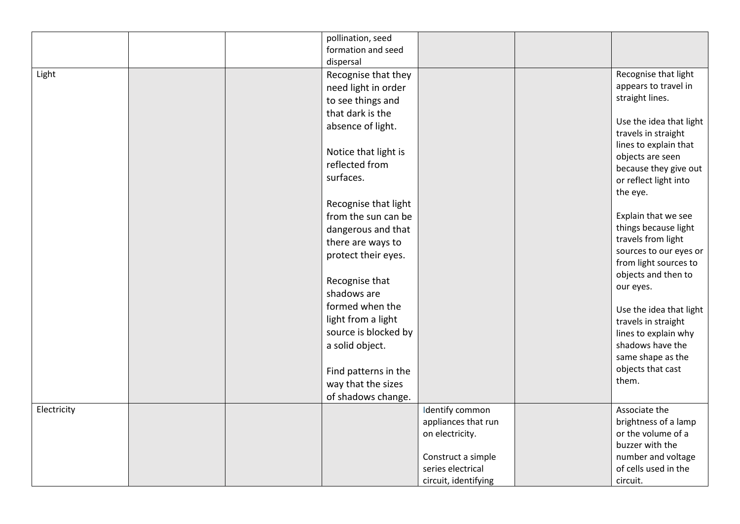|             | pollination, seed<br>formation and seed<br>dispersal                                                                                                                                                           |                                                                                                                              |                                                                                                                                                                                                                                                     |
|-------------|----------------------------------------------------------------------------------------------------------------------------------------------------------------------------------------------------------------|------------------------------------------------------------------------------------------------------------------------------|-----------------------------------------------------------------------------------------------------------------------------------------------------------------------------------------------------------------------------------------------------|
| Light       | Recognise that they<br>need light in order<br>to see things and<br>that dark is the<br>absence of light.<br>Notice that light is<br>reflected from<br>surfaces.<br>Recognise that light<br>from the sun can be |                                                                                                                              | Recognise that light<br>appears to travel in<br>straight lines.<br>Use the idea that light<br>travels in straight<br>lines to explain that<br>objects are seen<br>because they give out<br>or reflect light into<br>the eye.<br>Explain that we see |
|             | dangerous and that<br>there are ways to<br>protect their eyes.<br>Recognise that<br>shadows are<br>formed when the<br>light from a light                                                                       |                                                                                                                              | things because light<br>travels from light<br>sources to our eyes or<br>from light sources to<br>objects and then to<br>our eyes.<br>Use the idea that light<br>travels in straight                                                                 |
|             | source is blocked by<br>a solid object.<br>Find patterns in the<br>way that the sizes<br>of shadows change.                                                                                                    |                                                                                                                              | lines to explain why<br>shadows have the<br>same shape as the<br>objects that cast<br>them.                                                                                                                                                         |
| Electricity |                                                                                                                                                                                                                | Identify common<br>appliances that run<br>on electricity.<br>Construct a simple<br>series electrical<br>circuit, identifying | Associate the<br>brightness of a lamp<br>or the volume of a<br>buzzer with the<br>number and voltage<br>of cells used in the<br>circuit.                                                                                                            |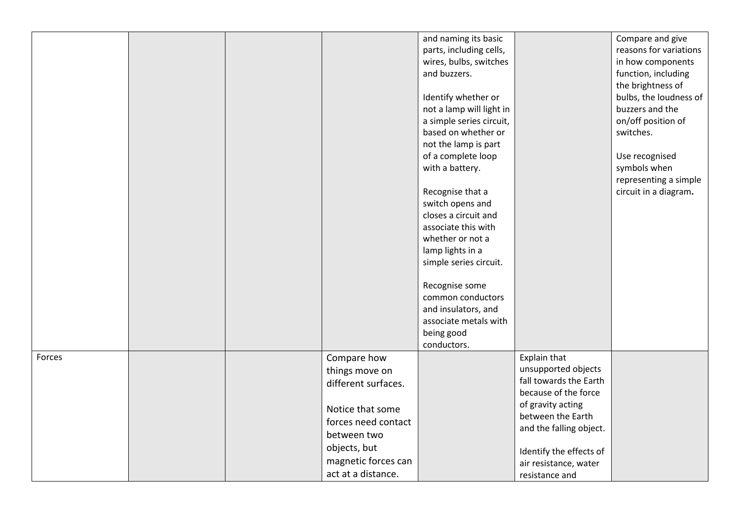|        |  |                     | and naming its basic     |                         | Compare and give       |
|--------|--|---------------------|--------------------------|-------------------------|------------------------|
|        |  |                     | parts, including cells,  |                         | reasons for variations |
|        |  |                     | wires, bulbs, switches   |                         | in how components      |
|        |  |                     | and buzzers.             |                         |                        |
|        |  |                     |                          |                         | function, including    |
|        |  |                     |                          |                         | the brightness of      |
|        |  |                     | Identify whether or      |                         | bulbs, the loudness of |
|        |  |                     | not a lamp will light in |                         | buzzers and the        |
|        |  |                     | a simple series circuit, |                         | on/off position of     |
|        |  |                     | based on whether or      |                         | switches.              |
|        |  |                     | not the lamp is part     |                         |                        |
|        |  |                     | of a complete loop       |                         | Use recognised         |
|        |  |                     | with a battery.          |                         | symbols when           |
|        |  |                     |                          |                         | representing a simple  |
|        |  |                     | Recognise that a         |                         | circuit in a diagram.  |
|        |  |                     | switch opens and         |                         |                        |
|        |  |                     | closes a circuit and     |                         |                        |
|        |  |                     | associate this with      |                         |                        |
|        |  |                     | whether or not a         |                         |                        |
|        |  |                     | lamp lights in a         |                         |                        |
|        |  |                     | simple series circuit.   |                         |                        |
|        |  |                     |                          |                         |                        |
|        |  |                     | Recognise some           |                         |                        |
|        |  |                     | common conductors        |                         |                        |
|        |  |                     | and insulators, and      |                         |                        |
|        |  |                     | associate metals with    |                         |                        |
|        |  |                     | being good               |                         |                        |
|        |  |                     | conductors.              |                         |                        |
| Forces |  | Compare how         |                          | Explain that            |                        |
|        |  | things move on      |                          | unsupported objects     |                        |
|        |  |                     |                          | fall towards the Earth  |                        |
|        |  | different surfaces. |                          | because of the force    |                        |
|        |  |                     |                          | of gravity acting       |                        |
|        |  | Notice that some    |                          | between the Earth       |                        |
|        |  | forces need contact |                          | and the falling object. |                        |
|        |  | between two         |                          |                         |                        |
|        |  | objects, but        |                          | Identify the effects of |                        |
|        |  | magnetic forces can |                          | air resistance, water   |                        |
|        |  | act at a distance.  |                          |                         |                        |
|        |  |                     |                          | resistance and          |                        |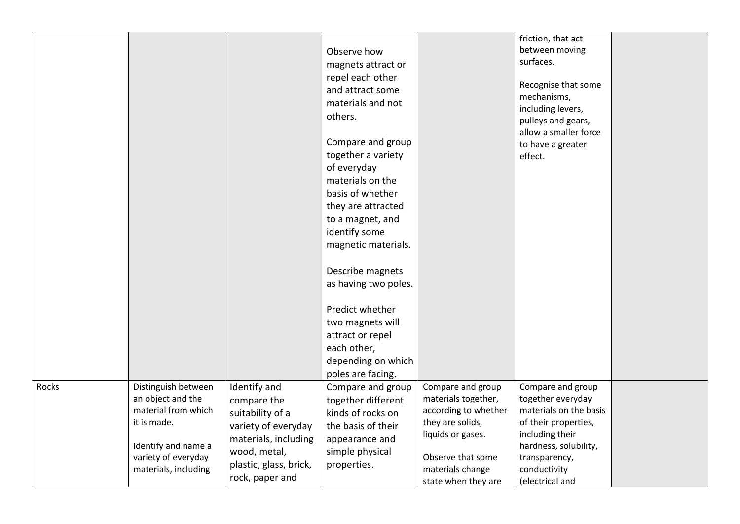|       |                                                                                                                                                      |                                                                                                                                                             | Observe how<br>magnets attract or<br>repel each other<br>and attract some<br>materials and not<br>others.<br>Compare and group<br>together a variety<br>of everyday<br>materials on the<br>basis of whether<br>they are attracted<br>to a magnet, and<br>identify some<br>magnetic materials.<br>Describe magnets<br>as having two poles.<br>Predict whether<br>two magnets will<br>attract or repel<br>each other,<br>depending on which<br>poles are facing. |                                                                                                                                                                           | friction, that act<br>between moving<br>surfaces.<br>Recognise that some<br>mechanisms,<br>including levers,<br>pulleys and gears,<br>allow a smaller force<br>to have a greater<br>effect. |  |
|-------|------------------------------------------------------------------------------------------------------------------------------------------------------|-------------------------------------------------------------------------------------------------------------------------------------------------------------|----------------------------------------------------------------------------------------------------------------------------------------------------------------------------------------------------------------------------------------------------------------------------------------------------------------------------------------------------------------------------------------------------------------------------------------------------------------|---------------------------------------------------------------------------------------------------------------------------------------------------------------------------|---------------------------------------------------------------------------------------------------------------------------------------------------------------------------------------------|--|
| Rocks | Distinguish between<br>an object and the<br>material from which<br>it is made.<br>Identify and name a<br>variety of everyday<br>materials, including | Identify and<br>compare the<br>suitability of a<br>variety of everyday<br>materials, including<br>wood, metal,<br>plastic, glass, brick,<br>rock, paper and | Compare and group<br>together different<br>kinds of rocks on<br>the basis of their<br>appearance and<br>simple physical<br>properties.                                                                                                                                                                                                                                                                                                                         | Compare and group<br>materials together,<br>according to whether<br>they are solids,<br>liquids or gases.<br>Observe that some<br>materials change<br>state when they are | Compare and group<br>together everyday<br>materials on the basis<br>of their properties,<br>including their<br>hardness, solubility,<br>transparency,<br>conductivity<br>(electrical and    |  |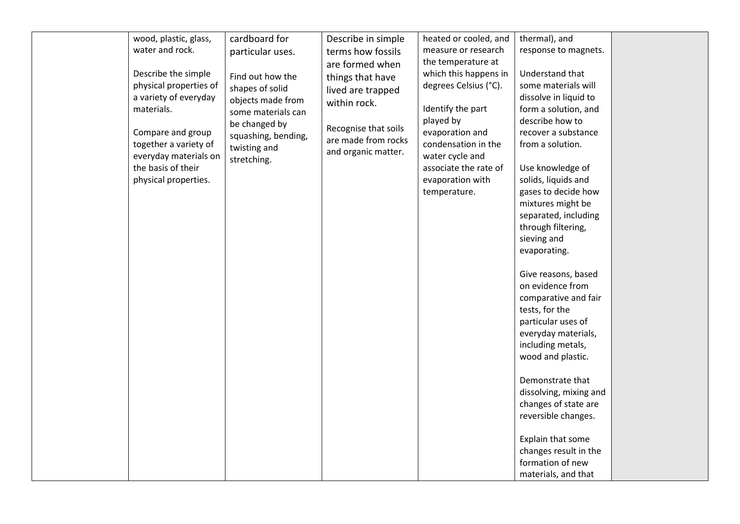| wood, plastic, glass,<br>water and rock.<br>Describe the simple<br>physical properties of<br>a variety of everyday<br>materials.<br>Compare and group<br>together a variety of<br>everyday materials on<br>the basis of their<br>physical properties. | cardboard for<br>particular uses.<br>Find out how the<br>shapes of solid<br>objects made from<br>some materials can<br>be changed by<br>squashing, bending,<br>twisting and<br>stretching. | Describe in simple<br>terms how fossils<br>are formed when<br>things that have<br>lived are trapped<br>within rock.<br>Recognise that soils<br>are made from rocks<br>and organic matter. | heated or cooled, and<br>measure or research<br>the temperature at<br>which this happens in<br>degrees Celsius (°C).<br>Identify the part<br>played by<br>evaporation and<br>condensation in the<br>water cycle and<br>associate the rate of<br>evaporation with<br>temperature. | thermal), and<br>response to magnets.<br>Understand that<br>some materials will<br>dissolve in liquid to<br>form a solution, and<br>describe how to<br>recover a substance<br>from a solution.<br>Use knowledge of<br>solids, liquids and<br>gases to decide how<br>mixtures might be<br>separated, including<br>through filtering,<br>sieving and<br>evaporating.<br>Give reasons, based<br>on evidence from<br>comparative and fair<br>tests, for the<br>particular uses of<br>everyday materials,<br>including metals,<br>wood and plastic.<br>Demonstrate that<br>dissolving, mixing and<br>changes of state are<br>reversible changes.<br>Explain that some<br>changes result in the<br>formation of new<br>materials, and that |  |
|-------------------------------------------------------------------------------------------------------------------------------------------------------------------------------------------------------------------------------------------------------|--------------------------------------------------------------------------------------------------------------------------------------------------------------------------------------------|-------------------------------------------------------------------------------------------------------------------------------------------------------------------------------------------|----------------------------------------------------------------------------------------------------------------------------------------------------------------------------------------------------------------------------------------------------------------------------------|--------------------------------------------------------------------------------------------------------------------------------------------------------------------------------------------------------------------------------------------------------------------------------------------------------------------------------------------------------------------------------------------------------------------------------------------------------------------------------------------------------------------------------------------------------------------------------------------------------------------------------------------------------------------------------------------------------------------------------------|--|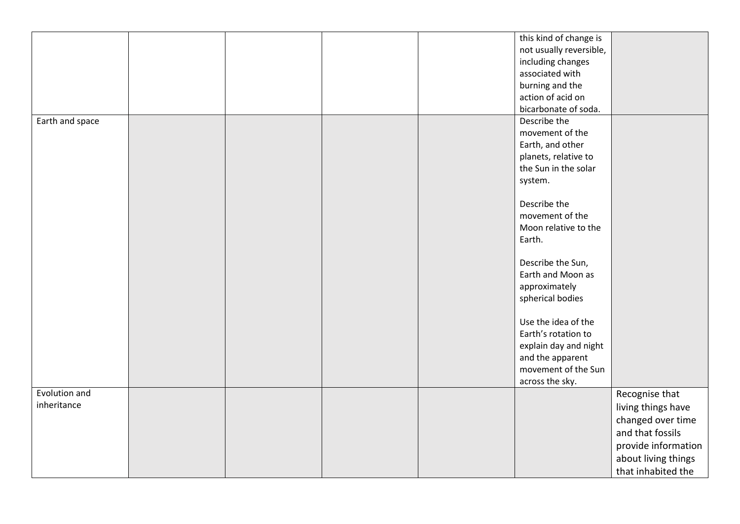|                 |  |  | this kind of change is  |                     |
|-----------------|--|--|-------------------------|---------------------|
|                 |  |  | not usually reversible, |                     |
|                 |  |  | including changes       |                     |
|                 |  |  | associated with         |                     |
|                 |  |  | burning and the         |                     |
|                 |  |  | action of acid on       |                     |
|                 |  |  | bicarbonate of soda.    |                     |
| Earth and space |  |  | Describe the            |                     |
|                 |  |  | movement of the         |                     |
|                 |  |  | Earth, and other        |                     |
|                 |  |  | planets, relative to    |                     |
|                 |  |  | the Sun in the solar    |                     |
|                 |  |  | system.                 |                     |
|                 |  |  |                         |                     |
|                 |  |  | Describe the            |                     |
|                 |  |  | movement of the         |                     |
|                 |  |  | Moon relative to the    |                     |
|                 |  |  | Earth.                  |                     |
|                 |  |  |                         |                     |
|                 |  |  | Describe the Sun,       |                     |
|                 |  |  | Earth and Moon as       |                     |
|                 |  |  | approximately           |                     |
|                 |  |  | spherical bodies        |                     |
|                 |  |  |                         |                     |
|                 |  |  | Use the idea of the     |                     |
|                 |  |  | Earth's rotation to     |                     |
|                 |  |  | explain day and night   |                     |
|                 |  |  | and the apparent        |                     |
|                 |  |  | movement of the Sun     |                     |
|                 |  |  | across the sky.         |                     |
| Evolution and   |  |  |                         | Recognise that      |
| inheritance     |  |  |                         | living things have  |
|                 |  |  |                         | changed over time   |
|                 |  |  |                         | and that fossils    |
|                 |  |  |                         |                     |
|                 |  |  |                         | provide information |
|                 |  |  |                         | about living things |
|                 |  |  |                         | that inhabited the  |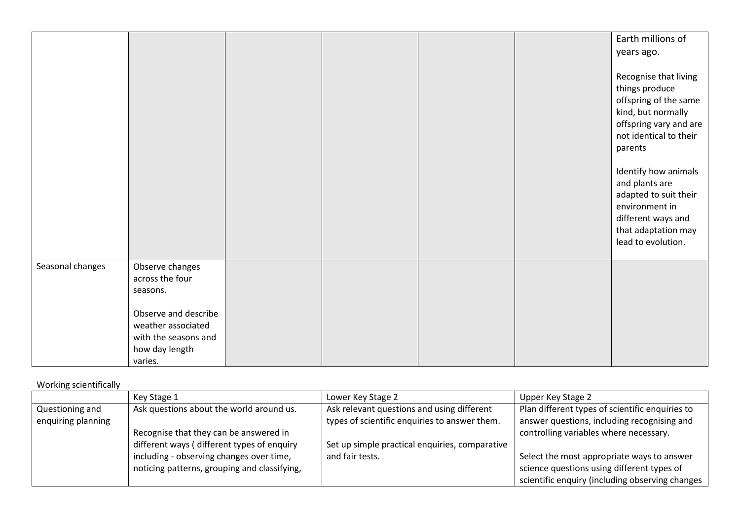|                  |                      |  |  | Earth millions of      |
|------------------|----------------------|--|--|------------------------|
|                  |                      |  |  | years ago.             |
|                  |                      |  |  |                        |
|                  |                      |  |  | Recognise that living  |
|                  |                      |  |  | things produce         |
|                  |                      |  |  | offspring of the same  |
|                  |                      |  |  | kind, but normally     |
|                  |                      |  |  | offspring vary and are |
|                  |                      |  |  | not identical to their |
|                  |                      |  |  | parents                |
|                  |                      |  |  |                        |
|                  |                      |  |  | Identify how animals   |
|                  |                      |  |  | and plants are         |
|                  |                      |  |  | adapted to suit their  |
|                  |                      |  |  | environment in         |
|                  |                      |  |  | different ways and     |
|                  |                      |  |  | that adaptation may    |
|                  |                      |  |  | lead to evolution.     |
| Seasonal changes | Observe changes      |  |  |                        |
|                  | across the four      |  |  |                        |
|                  | seasons.             |  |  |                        |
|                  |                      |  |  |                        |
|                  | Observe and describe |  |  |                        |
|                  | weather associated   |  |  |                        |
|                  | with the seasons and |  |  |                        |
|                  | how day length       |  |  |                        |
|                  | varies.              |  |  |                        |

## Working scientifically

|                                       | Key Stage 1                                  | Lower Key Stage 2                                                                           | Upper Key Stage 2                                                                              |
|---------------------------------------|----------------------------------------------|---------------------------------------------------------------------------------------------|------------------------------------------------------------------------------------------------|
| Questioning and<br>enquiring planning | Ask questions about the world around us.     | Ask relevant questions and using different<br>types of scientific enquiries to answer them. | Plan different types of scientific enquiries to<br>answer questions, including recognising and |
|                                       | Recognise that they can be answered in       |                                                                                             | controlling variables where necessary.                                                         |
|                                       | different ways (different types of enquiry   | Set up simple practical enquiries, comparative                                              |                                                                                                |
|                                       | including - observing changes over time,     | and fair tests.                                                                             | Select the most appropriate ways to answer                                                     |
|                                       | noticing patterns, grouping and classifying, |                                                                                             | science questions using different types of                                                     |
|                                       |                                              |                                                                                             | scientific enquiry (including observing changes                                                |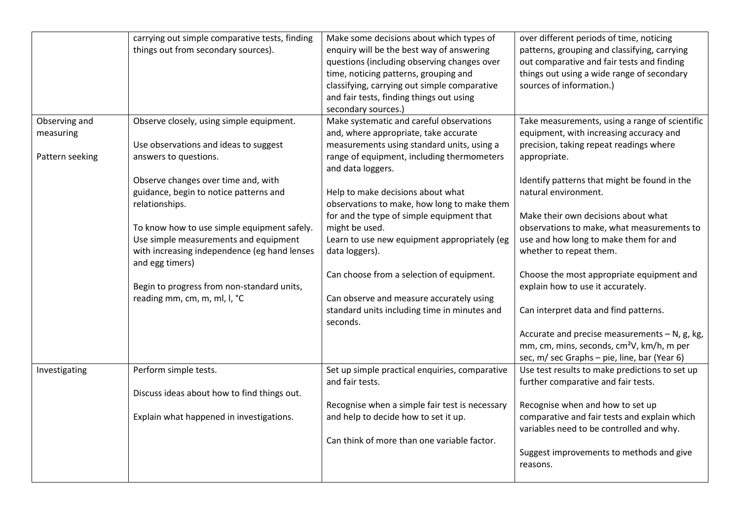|                 | carrying out simple comparative tests, finding | Make some decisions about which types of       | over different periods of time, noticing              |
|-----------------|------------------------------------------------|------------------------------------------------|-------------------------------------------------------|
|                 | things out from secondary sources).            | enquiry will be the best way of answering      | patterns, grouping and classifying, carrying          |
|                 |                                                | questions (including observing changes over    | out comparative and fair tests and finding            |
|                 |                                                | time, noticing patterns, grouping and          | things out using a wide range of secondary            |
|                 |                                                | classifying, carrying out simple comparative   | sources of information.)                              |
|                 |                                                | and fair tests, finding things out using       |                                                       |
|                 |                                                | secondary sources.)                            |                                                       |
| Observing and   | Observe closely, using simple equipment.       | Make systematic and careful observations       | Take measurements, using a range of scientific        |
| measuring       |                                                | and, where appropriate, take accurate          | equipment, with increasing accuracy and               |
|                 | Use observations and ideas to suggest          | measurements using standard units, using a     | precision, taking repeat readings where               |
| Pattern seeking | answers to questions.                          | range of equipment, including thermometers     | appropriate.                                          |
|                 |                                                | and data loggers.                              |                                                       |
|                 | Observe changes over time and, with            |                                                | Identify patterns that might be found in the          |
|                 | guidance, begin to notice patterns and         | Help to make decisions about what              | natural environment.                                  |
|                 | relationships.                                 | observations to make, how long to make them    |                                                       |
|                 |                                                | for and the type of simple equipment that      | Make their own decisions about what                   |
|                 | To know how to use simple equipment safely.    | might be used.                                 | observations to make, what measurements to            |
|                 | Use simple measurements and equipment          | Learn to use new equipment appropriately (eg   | use and how long to make them for and                 |
|                 | with increasing independence (eg hand lenses   | data loggers).                                 | whether to repeat them.                               |
|                 | and egg timers)                                |                                                |                                                       |
|                 |                                                | Can choose from a selection of equipment.      | Choose the most appropriate equipment and             |
|                 | Begin to progress from non-standard units,     |                                                | explain how to use it accurately.                     |
|                 | reading mm, cm, m, ml, l, °C                   | Can observe and measure accurately using       |                                                       |
|                 |                                                | standard units including time in minutes and   | Can interpret data and find patterns.                 |
|                 |                                                | seconds.                                       |                                                       |
|                 |                                                |                                                | Accurate and precise measurements - N, g, kg,         |
|                 |                                                |                                                | mm, cm, mins, seconds, cm <sup>2</sup> V, km/h, m per |
|                 |                                                |                                                | sec, m/ sec Graphs - pie, line, bar (Year 6)          |
| Investigating   | Perform simple tests.                          | Set up simple practical enquiries, comparative | Use test results to make predictions to set up        |
|                 |                                                | and fair tests.                                | further comparative and fair tests.                   |
|                 | Discuss ideas about how to find things out.    |                                                |                                                       |
|                 |                                                | Recognise when a simple fair test is necessary | Recognise when and how to set up                      |
|                 | Explain what happened in investigations.       | and help to decide how to set it up.           | comparative and fair tests and explain which          |
|                 |                                                |                                                | variables need to be controlled and why.              |
|                 |                                                | Can think of more than one variable factor.    |                                                       |
|                 |                                                |                                                | Suggest improvements to methods and give              |
|                 |                                                |                                                | reasons.                                              |
|                 |                                                |                                                |                                                       |
|                 |                                                |                                                |                                                       |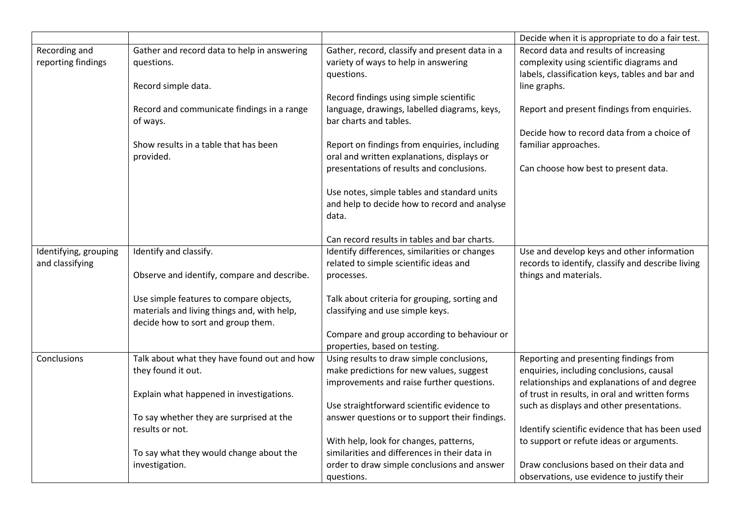|                                          |                                                        |                                                                                            | Decide when it is appropriate to do a fair test.  |
|------------------------------------------|--------------------------------------------------------|--------------------------------------------------------------------------------------------|---------------------------------------------------|
| Recording and                            | Gather and record data to help in answering            | Gather, record, classify and present data in a                                             | Record data and results of increasing             |
| reporting findings                       | questions.                                             | variety of ways to help in answering                                                       | complexity using scientific diagrams and          |
|                                          |                                                        | questions.                                                                                 | labels, classification keys, tables and bar and   |
|                                          | Record simple data.                                    |                                                                                            | line graphs.                                      |
|                                          |                                                        | Record findings using simple scientific                                                    |                                                   |
|                                          | Record and communicate findings in a range<br>of ways. | language, drawings, labelled diagrams, keys,<br>bar charts and tables.                     | Report and present findings from enquiries.       |
|                                          |                                                        |                                                                                            | Decide how to record data from a choice of        |
|                                          | Show results in a table that has been<br>provided.     | Report on findings from enquiries, including<br>oral and written explanations, displays or | familiar approaches.                              |
|                                          |                                                        | presentations of results and conclusions.                                                  | Can choose how best to present data.              |
|                                          |                                                        |                                                                                            |                                                   |
|                                          |                                                        | Use notes, simple tables and standard units                                                |                                                   |
|                                          |                                                        | and help to decide how to record and analyse                                               |                                                   |
|                                          |                                                        | data.                                                                                      |                                                   |
|                                          |                                                        | Can record results in tables and bar charts.                                               |                                                   |
|                                          | Identify and classify.                                 | Identify differences, similarities or changes                                              | Use and develop keys and other information        |
| Identifying, grouping<br>and classifying |                                                        | related to simple scientific ideas and                                                     | records to identify, classify and describe living |
|                                          | Observe and identify, compare and describe.            | processes.                                                                                 | things and materials.                             |
|                                          |                                                        |                                                                                            |                                                   |
|                                          | Use simple features to compare objects,                | Talk about criteria for grouping, sorting and                                              |                                                   |
|                                          | materials and living things and, with help,            | classifying and use simple keys.                                                           |                                                   |
|                                          | decide how to sort and group them.                     |                                                                                            |                                                   |
|                                          |                                                        | Compare and group according to behaviour or                                                |                                                   |
|                                          |                                                        | properties, based on testing.                                                              |                                                   |
| Conclusions                              | Talk about what they have found out and how            | Using results to draw simple conclusions,                                                  | Reporting and presenting findings from            |
|                                          | they found it out.                                     | make predictions for new values, suggest                                                   | enquiries, including conclusions, causal          |
|                                          |                                                        | improvements and raise further questions.                                                  | relationships and explanations of and degree      |
|                                          | Explain what happened in investigations.               |                                                                                            | of trust in results, in oral and written forms    |
|                                          |                                                        | Use straightforward scientific evidence to                                                 | such as displays and other presentations.         |
|                                          | To say whether they are surprised at the               | answer questions or to support their findings.                                             |                                                   |
|                                          | results or not.                                        |                                                                                            | Identify scientific evidence that has been used   |
|                                          |                                                        | With help, look for changes, patterns,                                                     | to support or refute ideas or arguments.          |
|                                          | To say what they would change about the                | similarities and differences in their data in                                              |                                                   |
|                                          | investigation.                                         | order to draw simple conclusions and answer                                                | Draw conclusions based on their data and          |
|                                          |                                                        | questions.                                                                                 | observations, use evidence to justify their       |